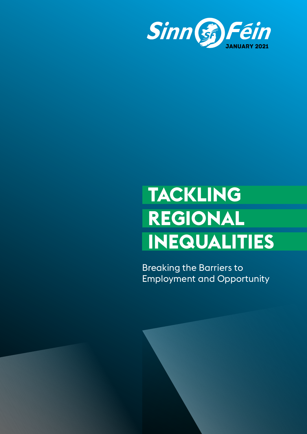

## **TACKLING REGIONAL INEQUALITIES**

Breaking the Barriers to Employment and Opportunity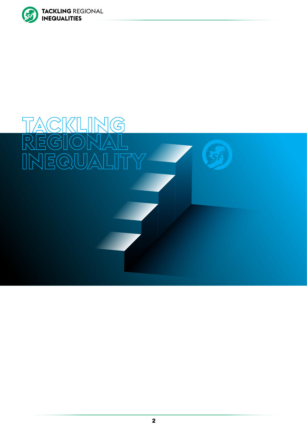

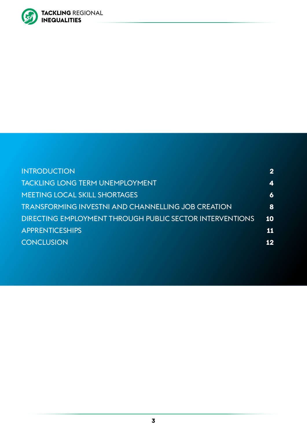

| <b>INTRODUCTION</b>                                       | $\bf{2}$ |
|-----------------------------------------------------------|----------|
| <b>TACKLING LONG TERM UNEMPLOYMENT</b>                    | 4        |
| MEETING LOCAL SKILL SHORTAGES                             | 6        |
| <b>TRANSFORMING INVESTNI AND CHANNELLING JOB CREATION</b> | 8        |
| DIRECTING EMPLOYMENT THROUGH PUBLIC SECTOR INTERVENTIONS  | 10       |
| <b>APPRENTICESHIPS</b>                                    | 11       |
| <b>CONCLUSION</b>                                         |          |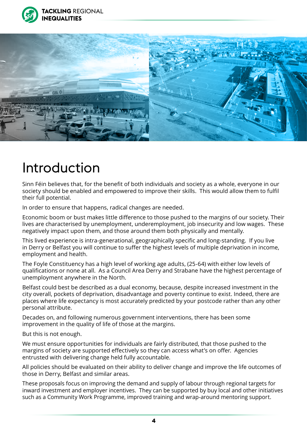



### Introduction

Sinn Féin believes that, for the benefit of both individuals and society as a whole, everyone in our society should be enabled and empowered to improve their skills. This would allow them to fulfil their full potential.

In order to ensure that happens, radical changes are needed.

Economic boom or bust makes little difference to those pushed to the margins of our society. Their lives are characterised by unemployment, underemployment, job insecurity and low wages. These negatively impact upon them, and those around them both physically and mentally.

This lived experience is intra-generational, geographically specific and long-standing. If you live in Derry or Belfast you will continue to suffer the highest levels of multiple deprivation in income, employment and health.

The Foyle Constituency has a high level of working age adults, (25-64) with either low levels of qualifications or none at all. As a Council Area Derry and Strabane have the highest percentage of unemployment anywhere in the North.

Belfast could best be described as a dual economy, because, despite increased investment in the city overall, pockets of deprivation, disadvantage and poverty continue to exist. Indeed, there are places where life expectancy is most accurately predicted by your postcode rather than any other personal attribute.

Decades on, and following numerous government interventions, there has been some improvement in the quality of life of those at the margins.

But this is not enough.

We must ensure opportunities for individuals are fairly distributed, that those pushed to the margins of society are supported effectively so they can access what's on offer. Agencies entrusted with delivering change held fully accountable.

All policies should be evaluated on their ability to deliver change and improve the life outcomes of those in Derry, Belfast and similar areas.

These proposals focus on improving the demand and supply of labour through regional targets for inward investment and employer incentives. They can be supported by buy local and other initiatives such as a Community Work Programme, improved training and wrap-around mentoring support.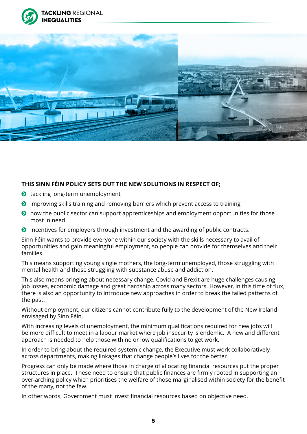



#### **THIS SINN FÉIN POLICY SETS OUT THE NEW SOLUTIONS IN RESPECT OF;**

- **O** tackling long-term unemployment
- $\bullet$  improving skills training and removing barriers which prevent access to training
- **O** how the public sector can support apprenticeships and employment opportunities for those most in need
- **O** incentives for employers through investment and the awarding of public contracts.

Sinn Féin wants to provide everyone within our society with the skills necessary to avail of opportunities and gain meaningful employment, so people can provide for themselves and their families.

This means supporting young single mothers, the long-term unemployed, those struggling with mental health and those struggling with substance abuse and addiction.

This also means bringing about necessary change. Covid and Brexit are huge challenges causing job losses, economic damage and great hardship across many sectors. However, in this time of flux, there is also an opportunity to introduce new approaches in order to break the failed patterns of the past.

Without employment, our citizens cannot contribute fully to the development of the New Ireland envisaged by Sinn Féin.

With increasing levels of unemployment, the minimum qualifications required for new jobs will be more difficult to meet in a labour market where job insecurity is endemic. A new and different approach is needed to help those with no or low qualifications to get work.

In order to bring about the required systemic change, the Executive must work collaboratively across departments, making linkages that change people's lives for the better.

Progress can only be made where those in charge of allocating financial resources put the proper structures in place. These need to ensure that public finances are firmly rooted in supporting an over-arching policy which prioritises the welfare of those marginalised within society for the benefit of the many, not the few.

In other words, Government must invest financial resources based on objective need.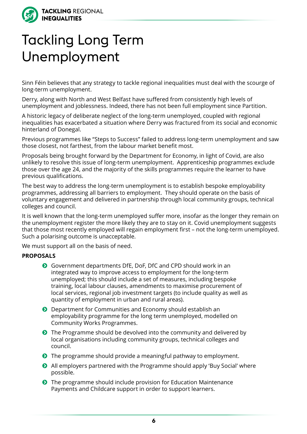

### Tackling Long Term Unemployment

Sinn Féin believes that any strategy to tackle regional inequalities must deal with the scourge of long-term unemployment.

Derry, along with North and West Belfast have suffered from consistently high levels of unemployment and joblessness. Indeed, there has not been full employment since Partition.

A historic legacy of deliberate neglect of the long-term unemployed, coupled with regional inequalities has exacerbated a situation where Derry was fractured from its social and economic hinterland of Donegal.

Previous programmes like "Steps to Success" failed to address long-term unemployment and saw those closest, not farthest, from the labour market benefit most.

Proposals being brought forward by the Department for Economy, in light of Covid, are also unlikely to resolve this issue of long-term unemployment. Apprenticeship programmes exclude those over the age 24, and the majority of the skills programmes require the learner to have previous qualifications.

The best way to address the long-term unemployment is to establish bespoke employability programmes, addressing all barriers to employment. They should operate on the basis of voluntary engagement and delivered in partnership through local community groups, technical colleges and council.

It is well known that the long-term unemployed suffer more, insofar as the longer they remain on the unemployment register the more likely they are to stay on it. Covid unemployment suggests that those most recently employed will regain employment first – not the long-term unemployed. Such a polarising outcome is unacceptable.

We must support all on the basis of need.

- Government departments DfE, DoF, DfC and CPD should work in an integrated way to improve access to employment for the long-term unemployed; this should include a set of measures, including bespoke training, local labour clauses, amendments to maximise procurement of local services, regional job investment targets (to include quality as well as quantity of employment in urban and rural areas).
- **O** Department for Communities and Economy should establish an employability programme for the long term unemployed, modelled on Community Works Programmes.
- **O** The Programme should be devolved into the community and delivered by local organisations including community groups, technical colleges and council.
- **O** The programme should provide a meaningful pathway to employment.
- All employers partnered with the Programme should apply 'Buy Social' where possible.
- **O** The programme should include provision for Education Maintenance Payments and Childcare support in order to support learners.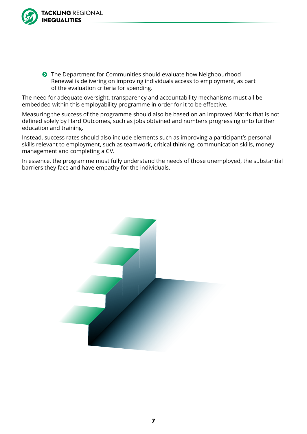

**O** The Department for Communities should evaluate how Neighbourhood Renewal is delivering on improving individuals access to employment, as part of the evaluation criteria for spending.

The need for adequate oversight, transparency and accountability mechanisms must all be embedded within this employability programme in order for it to be effective.

Measuring the success of the programme should also be based on an improved Matrix that is not defined solely by Hard Outcomes, such as jobs obtained and numbers progressing onto further education and training.

Instead, success rates should also include elements such as improving a participant's personal skills relevant to employment, such as teamwork, critical thinking, communication skills, money management and completing a CV.

In essence, the programme must fully understand the needs of those unemployed, the substantial barriers they face and have empathy for the individuals.

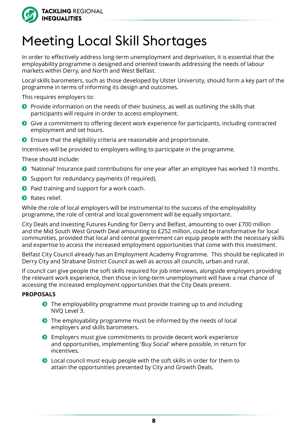

### Meeting Local Skill Shortages

In order to effectively address long-term unemployment and deprivation, it is essential that the employability programme is designed and oriented towards addressing the needs of labour markets within Derry, and North and West Belfast.

Local skills barometers, such as those developed by Ulster University, should form a key part of the programme in terms of informing its design and outcomes.

This requires employers to:

- $\bullet$  Provide information on the needs of their business, as well as outlining the skills that participants will require in order to access employment.
- Give a commitment to offering decent work experience for participants, including contracted employment and set hours.
- Ensure that the eligibility criteria are reasonable and proportionate.

Incentives will be provided to employers willing to participate in the programme.

These should include:

- 'National' Insurance paid contributions for one year after an employee has worked 13 months.
- **O** Support for redundancy payments (if required).
- **O** Paid training and support for a work coach.
- **O** Rates relief.

While the role of local employers will be instrumental to the success of the employability programme, the role of central and local government will be equally important.

City Deals and Investing Futures Funding for Derry and Belfast, amounting to over £700 million and the Mid South West Growth Deal amounting to £252 million, could be transformative for local communities, provided that local and central government can equip people with the necessary skills and expertise to access the increased employment opportunities that come with this investment.

Belfast City Council already has an Employment Academy Programme. This should be replicated in Derry City and Strabane District Council as well as across all councils, urban and rural.

If council can give people the soft skills required for job interviews, alongside employers providing the relevant work experience, then those in long-term unemployment will have a real chance of accessing the increased employment opportunities that the City Deals present.

- **O** The employability programme must provide training up to and including NVQ Level 3.
- **O** The employability programme must be informed by the needs of local employers and skills barometers.
- Employers must give commitments to provide decent work experience and opportunities, implementing 'Buy Social' where possible, in return for incentives.
- Local council must equip people with the soft skills in order for them to attain the opportunities presented by City and Growth Deals.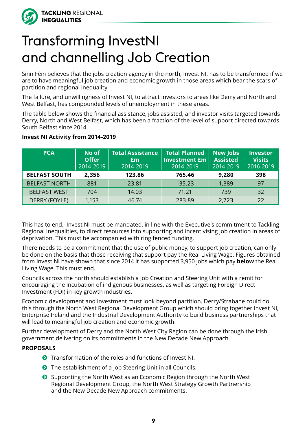

### Transforming InvestNI and channelling Job Creation

Sinn Féin believes that the jobs creation agency in the north, Invest NI, has to be transformed if we are to have meaningful job creation and economic growth in those areas which bear the scars of partition and regional inequality.

The failure, and unwillingness of Invest NI, to attract Investors to areas like Derry and North and West Belfast, has compounded levels of unemployment in these areas.

The table below shows the financial assistance, jobs assisted, and investor visits targeted towards Derry, North and West Belfast, which has been a fraction of the level of support directed towards South Belfast since 2014.

| <b>PCA</b>           | No of<br><b>Offer</b><br>2014-2019 | <b>Total Assistance</b><br>£m<br>2014-2019 | <b>Total Planned</b><br><b>Investment £m</b><br>2014-2019 | <b>New Jobs</b><br><b>Assisted</b><br>2014-2019 | <b>Investor</b><br><b>Visits</b><br>2016-2019 |
|----------------------|------------------------------------|--------------------------------------------|-----------------------------------------------------------|-------------------------------------------------|-----------------------------------------------|
| <b>BELFAST SOUTH</b> | 2,356                              | 123.86                                     | 765.46                                                    | 9,280                                           | 398                                           |
| <b>BELFAST NORTH</b> | 881                                | 23.81                                      | 135.23                                                    | 1,389                                           | 97                                            |
| <b>BELFAST WEST</b>  | 704                                | 14.03                                      | 71.21                                                     | 739                                             | 32                                            |
| DERRY (FOYLE)        | 1,153                              | 46.74                                      | 283.89                                                    | 2,723                                           | 22                                            |

#### **Invest NI Activity from 2014-2019**

This has to end. Invest NI must be mandated, in line with the Executive's commitment to Tackling Regional Inequalities, to direct resources into supporting and incentivising job creation in areas of deprivation. This must be accompanied with ring fenced funding.

There needs to be a commitment that the use of public money, to support job creation, can only be done on the basis that those receiving that support pay the Real Living Wage. Figures obtained from Invest NI have shown that since 2014 it has supported 3,950 jobs which pay **below** the Real Living Wage. This must end.

Councils across the north should establish a Job Creation and Steering Unit with a remit for encouraging the incubation of indigenous businesses, as well as targeting Foreign Direct Investment (FDI) in key growth industries.

Economic development and investment must look beyond partition. Derry/Strabane could do this through the North West Regional Development Group which should bring together Invest NI, Enterprise Ireland and the Industrial Development Authority to build business partnerships that will lead to meaningful job creation and economic growth.

Further development of Derry and the North West City Region can be done through the Irish government delivering on its commitments in the New Decade New Approach.

- **O** Transformation of the roles and functions of Invest NI.
- **O** The establishment of a Job Steering Unit in all Councils.
- Supporting the North West as an Economic Region through the North West Regional Development Group, the North West Strategy Growth Partnership and the New Decade New Approach commitments.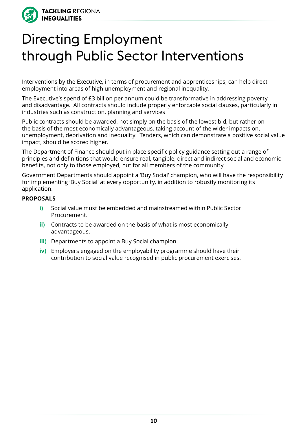

### Directing Employment through Public Sector Interventions

Interventions by the Executive, in terms of procurement and apprenticeships, can help direct employment into areas of high unemployment and regional inequality.

The Executive's spend of £3 billion per annum could be transformative in addressing poverty and disadvantage. All contracts should include properly enforcable social clauses, particularly in industries such as construction, planning and services

Public contracts should be awarded, not simply on the basis of the lowest bid, but rather on the basis of the most economically advantageous, taking account of the wider impacts on, unemployment, deprivation and inequality. Tenders, which can demonstrate a positive social value impact, should be scored higher.

The Department of Finance should put in place specific policy guidance setting out a range of principles and definitions that would ensure real, tangible, direct and indirect social and economic benefits, not only to those employed, but for all members of the community.

Government Departments should appoint a 'Buy Social' champion, who will have the responsibility for implementing 'Buy Social' at every opportunity, in addition to robustly monitoring its application.

- **i)** Social value must be embedded and mainstreamed within Public Sector Procurement.
- **ii)** Contracts to be awarded on the basis of what is most economically advantageous.
- **iii)** Departments to appoint a Buy Social champion.
- **iv)** Employers engaged on the employability programme should have their contribution to social value recognised in public procurement exercises.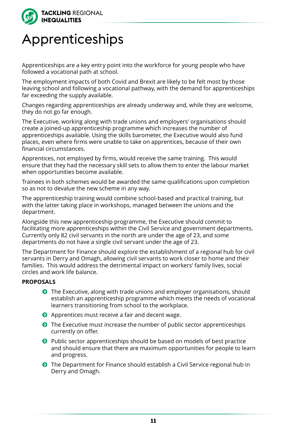

### Apprenticeships

Apprenticeships are a key entry point into the workforce for young people who have followed a vocational path at school.

The employment impacts of both Covid and Brexit are likely to be felt most by those leaving school and following a vocational pathway, with the demand for apprenticeships far exceeding the supply available.

Changes regarding apprenticeships are already underway and, while they are welcome, they do not go far enough.

The Executive, working along with trade unions and employers' organisations should create a joined-up apprenticeship programme which increases the number of apprenticeships available. Using the skills barometer, the Executive would also fund places, even where firms were unable to take on apprentices, because of their own financial circumstances.

Apprentices, not employed by firms, would receive the same training. This would ensure that they had the necessary skill sets to allow them to enter the labour market when opportunities become available.

Trainees in both schemes would be awarded the same qualifications upon completion so as not to devalue the new scheme in any way.

The apprenticeship training would combine school-based and practical training, but with the latter taking place in workshops, managed between the unions and the department.

Alongside this new apprenticeship programme, the Executive should commit to facilitating more apprenticeships within the Civil Service and government departments. Currently only 82 civil servants in the north are under the age of 23, and some departments do not have a single civil servant under the age of 23.

The Department for Finance should explore the establishment of a regional hub for civil servants in Derry and Omagh, allowing civil servants to work closer to home and their families. This would address the detrimental impact on workers' family lives, social circles and work life balance.

- **O** The Executive, along with trade unions and employer organisations, should establish an apprenticeship programme which meets the needs of vocational learners transitioning from school to the workplace.
- **O** Apprentices must receive a fair and decent wage.
- ◆ The Executive must increase the number of public sector apprenticeships currently on offer.
- **O** Public sector apprenticeships should be based on models of best practice and should ensure that there are maximum opportunities for people to learn and progress.
- **O** The Department for Finance should establish a Civil Service regional hub in Derry and Omagh.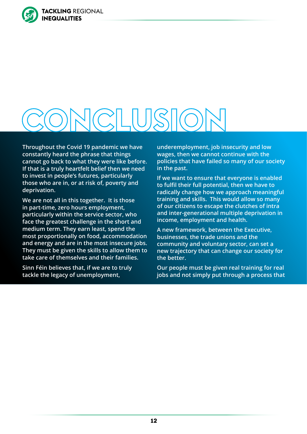

# $\| \| \leq$

**Throughout the Covid 19 pandemic we have constantly heard the phrase that things cannot go back to what they were like before. If that is a truly heartfelt belief then we need to invest in people's futures, particularly those who are in, or at risk of, poverty and deprivation.**

**We are not all in this together. It is those in part-time, zero hours employment, particularly within the service sector, who face the greatest challenge in the short and medium term. They earn least, spend the most proportionally on food, accommodation and energy and are in the most insecure jobs. They must be given the skills to allow them to take care of themselves and their families.**

**Sinn Féin believes that, if we are to truly tackle the legacy of unemployment,** 

**underemployment, job insecurity and low wages, then we cannot continue with the policies that have failed so many of our society in the past.**

**If we want to ensure that everyone is enabled to fulfil their full potential, then we have to radically change how we approach meaningful training and skills. This would allow so many of our citizens to escape the clutches of intra and inter-generational multiple deprivation in income, employment and health.**

**A new framework, between the Executive, businesses, the trade unions and the community and voluntary sector, can set a new trajectory that can change our society for the better.**

**Our people must be given real training for real jobs and not simply put through a process that**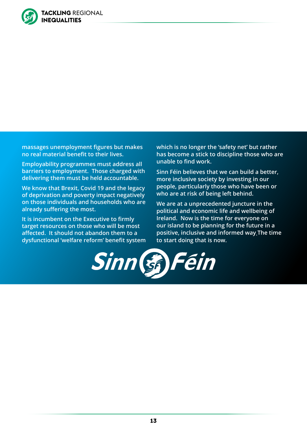

**massages unemployment figures but makes no real material benefit to their lives.**

**Employability programmes must address all barriers to employment. Those charged with delivering them must be held accountable.**

**We know that Brexit, Covid 19 and the legacy of deprivation and poverty impact negatively on those individuals and households who are already suffering the most.**

**It is incumbent on the Executive to firmly target resources on those who will be most affected. It should not abandon them to a dysfunctional 'welfare reform' benefit system**  **which is no longer the 'safety net' but rather has become a stick to discipline those who are unable to find work.** 

**Sinn Féin believes that we can build a better, more inclusive society by investing in our people, particularly those who have been or who are at risk of being left behind.** 

**We are at a unprecedented juncture in the political and economic life and wellbeing of Ireland. Now is the time for everyone on our island to be planning for the future in a positive, inclusive and informed way The time**  .**to start doing that is now.**

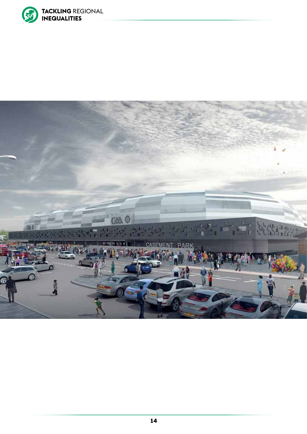

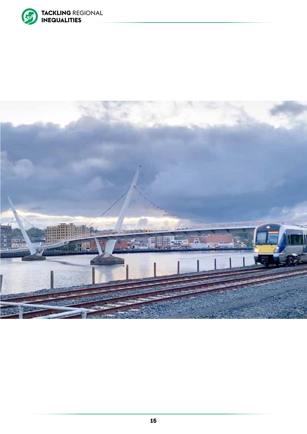